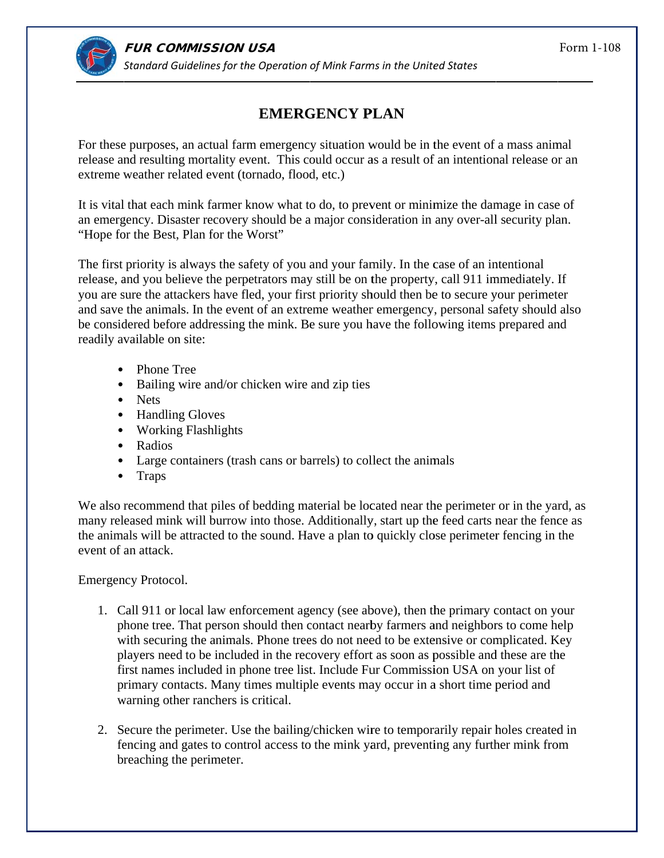

## **EMERGENCY PLAN**

For these purposes, an actual farm emergency situation would be in the event of a mass animal release and resulting mortality event. This could occur as a result of an intentional release or an extreme weather related event (tornado, flood, etc.)

It is vital that each mink farmer know what to do, to prevent or minimize the damage in case of an emergency. Disaster recovery should be a major consideration in any over-all security plan. "Hope for the Best, Plan for the Worst"

The first priority is always the safety of you and your family. In the case of an intentional release, and you believe the perpetrators may still be on the property, call 911 immediately. If you are sure the attackers have fled, your first priority should then be to secure your perimeter and save the animals. In the event of an extreme weather emergency, personal safety should also be considered before addressing the mink. Be sure you have the following items prepared and readily available on site:

- $\bullet$  Phone Tree
- Bailing wire and/or chicken wire and zip ties
- Nets
- Handling Gloves
- Working Flashlights
- Radios
- Large containers (trash cans or barrels) to collect the animals
- $\bullet$  Traps

We also recommend that piles of bedding material be located near the perimeter or in the yard, as many released mink will burrow into those. Additionally, start up the feed carts near the fence as the animals will be attracted to the sound. Have a plan to quickly close perimeter fencing in the event of an attack.

Emergency Protocol.

- 1. Call 911 or local law enforcement agency (see above), then the primary contact on your phone tree. That person should then contact nearby farmers and neighbors to come help with securing the animals. Phone trees do not need to be extensive or complicated. Key players need to be included in the recovery effort as soon as possible and these are the first names included in phone tree list. Include Fur Commission USA on your list of primary contacts. Many times multiple events may occur in a short time period and warning other ranchers is critical.
- 2. Secure the perimeter. Use the bailing/chicken wire to temporarily repair holes created in fencing and gates to control access to the mink yard, preventing any further mink from breaching the perimeter.